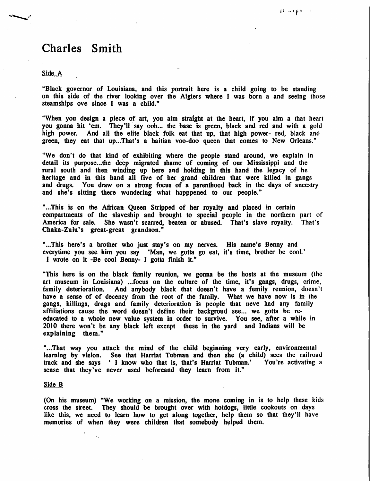## Charles Smith

## Side A

"Black governor of Louisiana, and this portrait here is a child going to be standing on this side of the river looking over the Algiers where I was born a and seeing those steamships ove since I was a child."

"When you design a piece of art, you aim straight at the heart, if you aim a that heart you gonna hit 'em. They'll say ooh... the base is green, black and red and with a gold high power. And all the elite black folk eat that up, that high power- red, black and green, they eat that up...That's a haitian voo-doo queen that comes to New Orleans."

"We don't do that kind of exhibiting where the people stand around, we explain in detail its purpose...the deep migrated shame of coming of our Mississippi and the rural south and then winding up here and holding in this hand the legacy of he heritage and in this hand all five of her grand children that were killed in gangs and drugs. You draw on a strong focus of a parenthood back in the days of ancestry and she's sitting there wondering what happpened to our people."

"...This is on the African Queen Stripped of her royalty and placed in certain compartments of the slaveship and brought to special people in the northern part of America for sale. She wasn't scarred, beaten or abused. That's slave royalty. That's Chaka-Zulu's great-great grandson."

"...This here's a brother who just stay's on my nerves. His name's Benny and every time you see him you say \*Man, we gotta go eat, it's time, brother be cool.' I wrote on it -Be cool Benny- I gotta finish it."

"This here is on the black family reunion, we gonna be the hosts at the museum (the art museum in Louisiana) ...focus on the culture of the time, it's gangs, drugs, crime, family deterioration. And anybody black that doesn't have a femily reunion, doesn't have a sense of of decency from the root of the family. What we have now is in the gangs, killings, drugs and family deterioration is people that neve had any family affiliations cause the word doesn't define their backgroud see... we gotta be reeducated to a whole new value system in order to survive. You see, after a while in 2010 there won't be any black left except these in the yard and Indians will be explaining them."

"...That way you attack the mind of the child beginning very early, environmental learning by vision. See that Harriat Tubman and then she (a child) sees the railroad track and she says ' I know who that is, that's Harriat Tubman.' You're activating a sense that they've never used beforeand they learn from it."

## Side B

(On his museum) "We working on a mission, the mone coming in is to help these kids cross the street. They should be brought over with hotdogs, little cookouts on days like this, we need to learn how to get along together, help them so that they'll have memories of when they were children that somebody helped them.